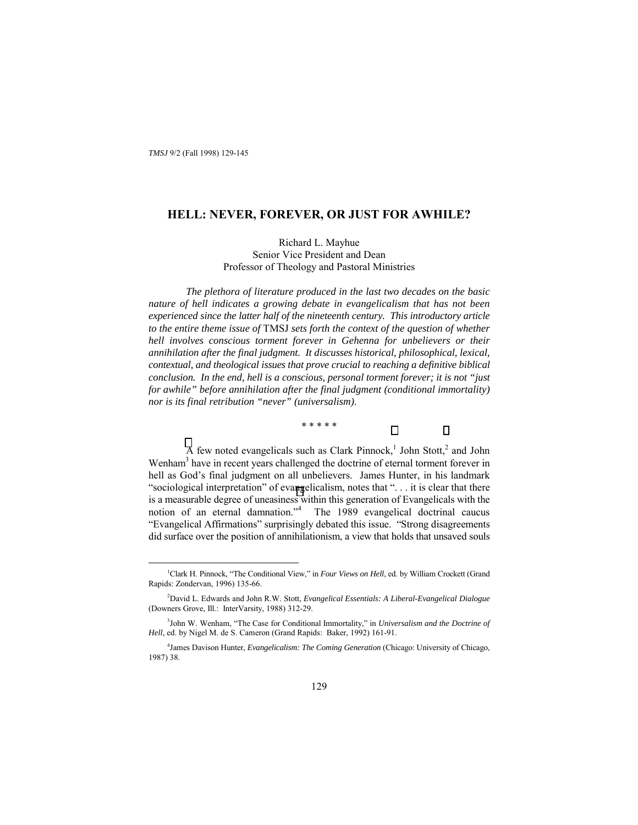### **HELL: NEVER, FOREVER, OR JUST FOR AWHILE?**

Richard L. Mayhue Senior Vice President and Dean Professor of Theology and Pastoral Ministries

*The plethora of literature produced in the last two decades on the basic nature of hell indicates a growing debate in evangelicalism that has not been experienced since the latter half of the nineteenth century. This introductory article to the entire theme issue of* TMSJ *sets forth the context of the question of whether hell involves conscious torment forever in Gehenna for unbelievers or their annihilation after the final judgment. It discusses historical, philosophical, lexical, contextual, and theological issues that prove crucial to reaching a definitive biblical conclusion. In the end, hell is a conscious, personal torment forever; it is not "just for awhile" before annihilation after the final judgment (conditional immortality) nor is its final retribution "never" (universalism)*.

\* \* \* \* \*

A few noted evangelicals such as Clark Pinnock,<sup>1</sup> John Stott,<sup>2</sup> and John Wenham<sup>3</sup> have in recent years challenged the doctrine of eternal torment forever in hell as God's final judgment on all unbelievers. James Hunter, in his landmark "sociological interpretation" of evangelicalism, notes that " $\ldots$  it is clear that there is a measurable degree of uneasiness within this generation of Evangelicals with the notion of an eternal damnation.<sup>4</sup> The 1989 evangelical doctrinal caucus *i*Evangelical Affirmations" surprisingly debated this issue. *"Strong disagreements* did surface over the position of annihilationism, a view that holds that unsaved souls

<sup>&</sup>lt;sup>1</sup> <sup>1</sup>Clark H. Pinnock, "The Conditional View," in *Four Views on Hell*, ed. by William Crockett (Grand Rapids: Zondervan, 1996) 135-66.

<sup>2</sup> David L. Edwards and John R.W. Stott, *Evangelical Essentials: A Liberal-Evangelical Dialogue* (Downers Grove, Ill.: InterVarsity, 1988) 312-29.

<sup>&</sup>lt;sup>3</sup> John W. Wenham, "The Case for Conditional Immortality," in *Universalism and the Doctrine of Hell*, ed. by Nigel M. de S. Cameron (Grand Rapids: Baker, 1992) 161-91.

<sup>4</sup> James Davison Hunter, *Evangelicalism: The Coming Generation* (Chicago: University of Chicago, 1987) 38.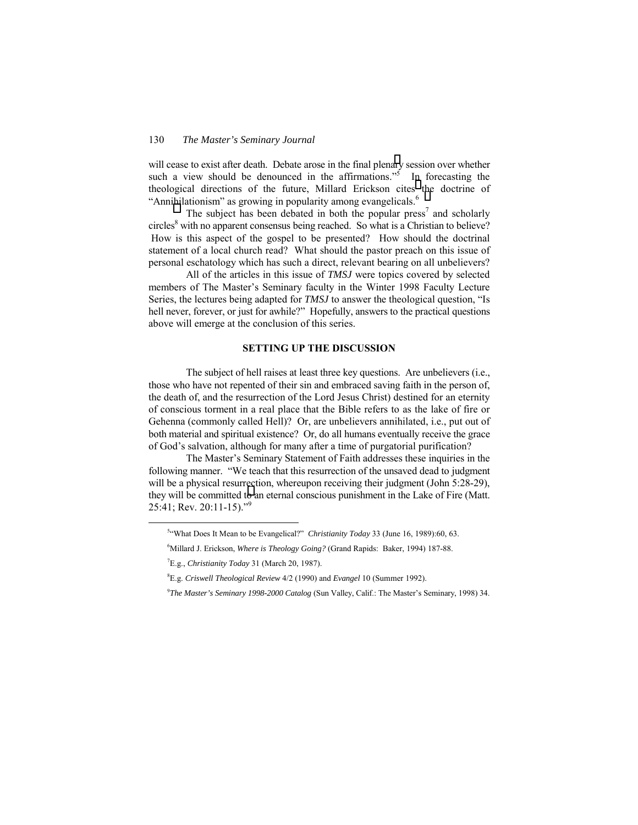will cease to exist after death. Debate arose in the final plenary session over whether such a view should be denounced in the affirmations.<sup> $55$ </sup> In forecasting the theological directions of the future, Millard Erickson cites the doctrine of "Annihilationism" as growing in popularity among evangelicals.<sup>6</sup>

The subject has been debated in both the popular  ${\rm press}^7$  and scholarly circles<sup>8</sup> with no apparent consensus being reached. So what is a Christian to believe? How is this aspect of the gospel to be presented? How should the doctrinal statement of a local church read? What should the pastor preach on this issue of personal eschatology which has such a direct, relevant bearing on all unbelievers?

 All of the articles in this issue of *TMSJ* were topics covered by selected members of The Master's Seminary faculty in the Winter 1998 Faculty Lecture Series, the lectures being adapted for *TMSJ* to answer the theological question, "Is hell never, forever, or just for awhile?" Hopefully, answers to the practical questions above will emerge at the conclusion of this series.

#### **SETTING UP THE DISCUSSION**

The subject of hell raises at least three key questions. Are unbelievers (i.e., those who have not repented of their sin and embraced saving faith in the person of, the death of, and the resurrection of the Lord Jesus Christ) destined for an eternity of conscious torment in a real place that the Bible refers to as the lake of fire or Gehenna (commonly called Hell)? Or, are unbelievers annihilated, i.e., put out of both material and spiritual existence? Or, do all humans eventually receive the grace of God's salvation, although for many after a time of purgatorial purification?

The Master's Seminary Statement of Faith addresses these inquiries in the following manner. "We teach that this resurrection of the unsaved dead to judgment will be a physical resurrection, whereupon receiving their judgment (John 5:28-29), they will be committed to an eternal conscious punishment in the Lake of Fire (Matt. 25:41; Rev. 20:11-15).<sup>79</sup>

 $rac{1}{5}$ <sup>54</sup>What Does It Mean to be Evangelical?" *Christianity Today* 33 (June 16, 1989):60, 63.

<sup>6</sup> Millard J. Erickson, *Where is Theology Going?* (Grand Rapids: Baker, 1994) 187-88.

<sup>7</sup> E.g., *Christianity Today* 31 (March 20, 1987).

<sup>8</sup> E.g. *Criswell Theological Review* 4/2 (1990) and *Evangel* 10 (Summer 1992).

<sup>&</sup>lt;sup>9</sup>The Master's Seminary 1998-2000 Catalog (Sun Valley, Calif.: The Master's Seminary, 1998) 34.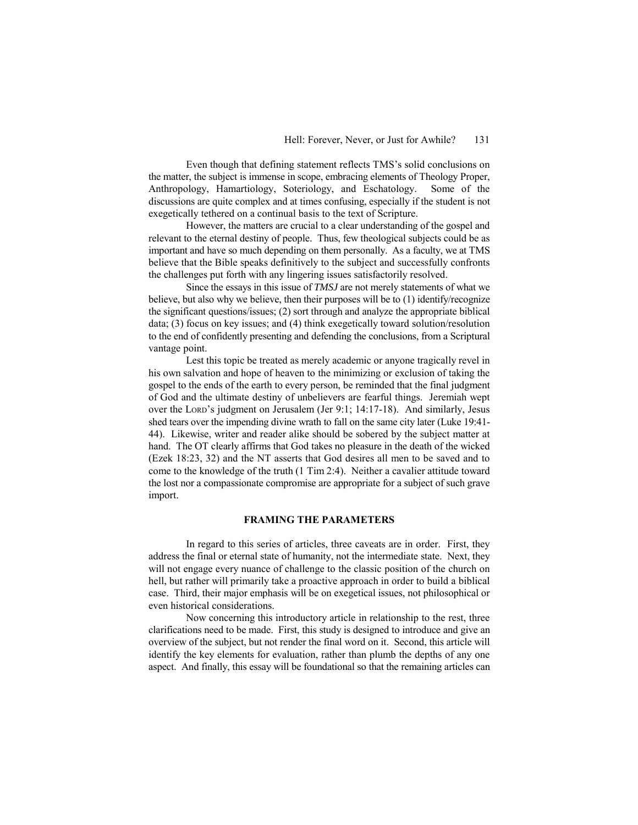Even though that defining statement reflects TMS's solid conclusions on the matter, the subject is immense in scope, embracing elements of Theology Proper, Anthropology, Hamartiology, Soteriology, and Eschatology. Some of the discussions are quite complex and at times confusing, especially if the student is not exegetically tethered on a continual basis to the text of Scripture.

However, the matters are crucial to a clear understanding of the gospel and relevant to the eternal destiny of people. Thus, few theological subjects could be as important and have so much depending on them personally. As a faculty, we at TMS believe that the Bible speaks definitively to the subject and successfully confronts the challenges put forth with any lingering issues satisfactorily resolved.

Since the essays in this issue of *TMSJ* are not merely statements of what we believe, but also why we believe, then their purposes will be to (1) identify/recognize the significant questions/issues; (2) sort through and analyze the appropriate biblical data; (3) focus on key issues; and (4) think exegetically toward solution/resolution to the end of confidently presenting and defending the conclusions, from a Scriptural vantage point.

Lest this topic be treated as merely academic or anyone tragically revel in his own salvation and hope of heaven to the minimizing or exclusion of taking the gospel to the ends of the earth to every person, be reminded that the final judgment of God and the ultimate destiny of unbelievers are fearful things. Jeremiah wept over the Lord's judgment on Jerusalem (Jer 9:1; 14:17-18). And similarly, Jesus shed tears over the impending divine wrath to fall on the same city later (Luke 19:41- 44). Likewise, writer and reader alike should be sobered by the subject matter at hand. The OT clearly affirms that God takes no pleasure in the death of the wicked (Ezek 18:23, 32) and the NT asserts that God desires all men to be saved and to come to the knowledge of the truth (1 Tim 2:4). Neither a cavalier attitude toward the lost nor a compassionate compromise are appropriate for a subject of such grave import.

#### **FRAMING THE PARAMETERS**

In regard to this series of articles, three caveats are in order. First, they address the final or eternal state of humanity, not the intermediate state. Next, they will not engage every nuance of challenge to the classic position of the church on hell, but rather will primarily take a proactive approach in order to build a biblical case. Third, their major emphasis will be on exegetical issues, not philosophical or even historical considerations.

Now concerning this introductory article in relationship to the rest, three clarifications need to be made. First, this study is designed to introduce and give an overview of the subject, but not render the final word on it. Second, this article will identify the key elements for evaluation, rather than plumb the depths of any one aspect. And finally, this essay will be foundational so that the remaining articles can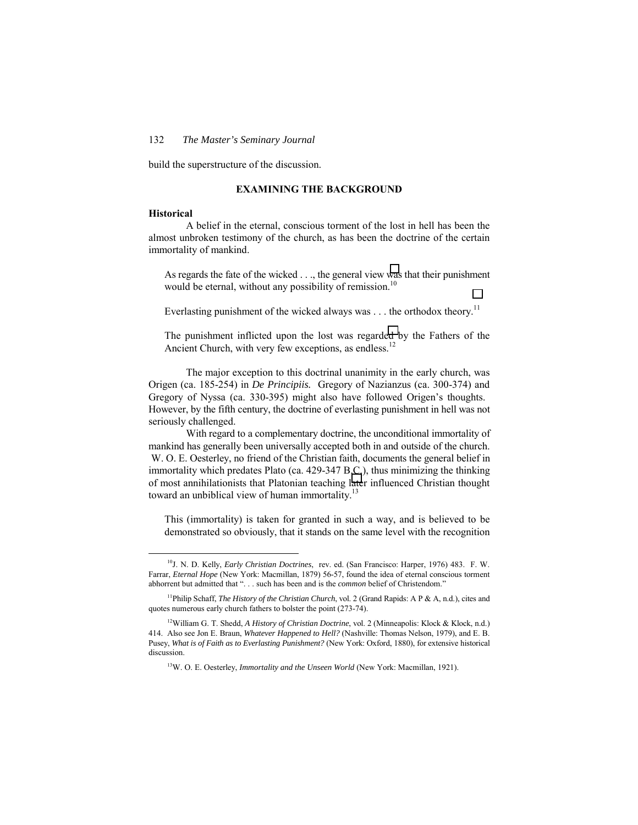build the superstructure of the discussion.

### **EXAMINING THE BACKGROUND**

#### **Historical**

A belief in the eternal, conscious torment of the lost in hell has been the almost unbroken testimony of the church, as has been the doctrine of the certain immortality of mankind.

As regards the fate of the wicked . . ., the general view was that their punishment would be eternal, without any possibility of remission.<sup>10</sup>

Everlasting punishment of the wicked always was . . . the orthodox theory.<sup>11</sup>

The punishment inflicted upon the lost was regarded by the Fathers of the Ancient Church, with very few exceptions, as endless.<sup>12</sup>

The major exception to this doctrinal unanimity in the early church, was Origen (ca. 185-254) in *De Principiis.* Gregory of Nazianzus (ca. 300-374) and Gregory of Nyssa (ca. 330-395) might also have followed Origen's thoughts. However, by the fifth century, the doctrine of everlasting punishment in hell was not seriously challenged.

With regard to a complementary doctrine, the unconditional immortality of mankind has generally been universally accepted both in and outside of the church. W. O. E. Oesterley, no friend of the Christian faith, documents the general belief in immortality which predates Plato (ca. 429-347 B.C.), thus minimizing the thinking of most annihilationists that Platonian teaching later influenced Christian thought toward an unbiblical view of human immortality.<sup>13</sup>

This (immortality) is taken for granted in such a way, and is believed to be demonstrated so obviously, that it stands on the same level with the recognition

 <sup>10</sup>J. N. D. Kelly, *Early Christian Doctrines*, rev. ed. (San Francisco: Harper, 1976) 483. F. W. Farrar, *Eternal Hope* (New York: Macmillan, 1879) 56-57, found the idea of eternal conscious torment abhorrent but admitted that ". . . such has been and is the *common* belief of Christendom."

<sup>11</sup>Philip Schaff, *The History of the Christian Church*, vol. 2 (Grand Rapids: A P & A, n.d.), cites and quotes numerous early church fathers to bolster the point (273-74).

<sup>&</sup>lt;sup>12</sup>William G. T. Shedd, *A History of Christian Doctrine*, vol. 2 (Minneapolis: Klock & Klock, n.d.) 414. Also see Jon E. Braun, *Whatever Happened to Hell?* (Nashville: Thomas Nelson, 1979), and E. B. Pusey, *What is of Faith as to Everlasting Punishment?* (New York: Oxford, 1880), for extensive historical discussion.

<sup>&</sup>lt;sup>13</sup>W. O. E. Oesterley, *Immortality and the Unseen World* (New York: Macmillan, 1921).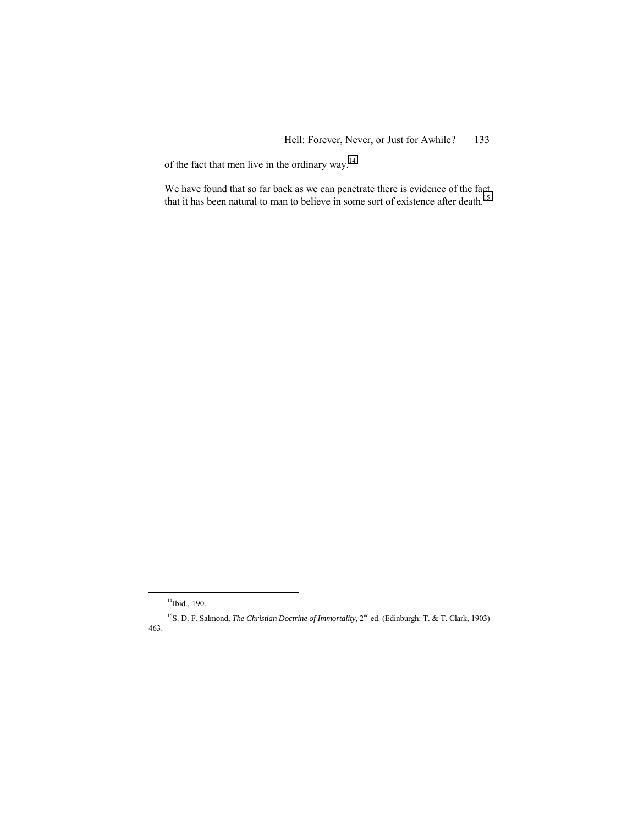of the fact that men live in the ordinary way.14

We have found that so far back as we can penetrate there is evidence of the fact that it has been natural to man to believe in some sort of existence after death.15

<sup>&</sup>lt;sup>14</sup>Ibid., 190.

<sup>&</sup>lt;sup>15</sup>S. D. F. Salmond, *The Christian Doctrine of Immortality*, 2<sup>nd</sup> ed. (Edinburgh: T. & T. Clark, 1903) 463.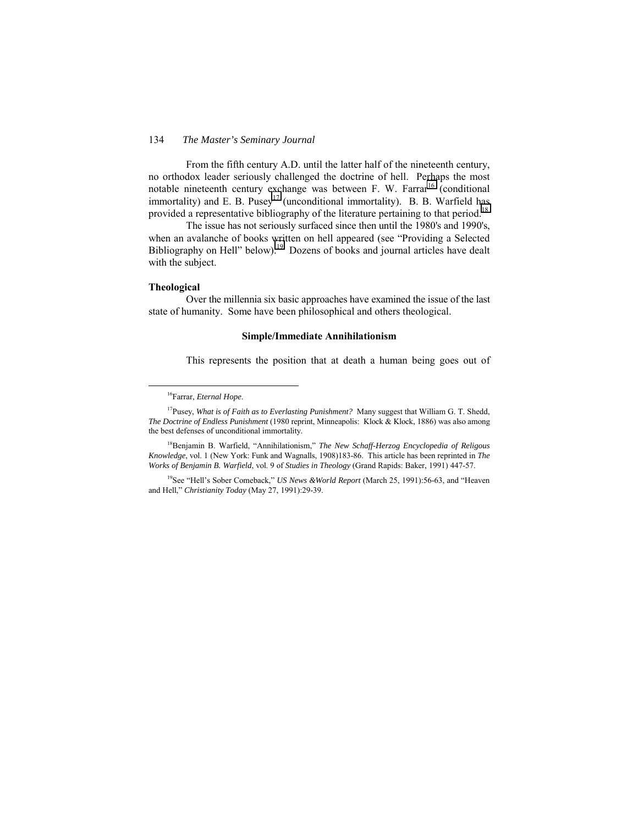From the fifth century A.D. until the latter half of the nineteenth century, no orthodox leader seriously challenged the doctrine of hell. Perhaps the most notable nineteenth century exchange was between F. W. Farrar<sup>16</sup> (conditional immortality) and E. B. Pusey<sup>17</sup> (unconditional immortality). B. B. Warfield has provided a representative bibliography of the literature pertaining to that period.<sup>18</sup>

The issue has not seriously surfaced since then until the 1980's and 1990's, when an avalanche of books written on hell appeared (see "Providing a Selected Bibliography on Hell" below).<sup>19</sup> Dozens of books and journal articles have dealt with the subject.

#### **Theological**

Over the millennia six basic approaches have examined the issue of the last state of humanity. Some have been philosophical and others theological.

#### **Simple/Immediate Annihilationism**

This represents the position that at death a human being goes out of

<sup>18</sup>Benjamin B. Warfield, "Annihilationism," *The New Schaff-Herzog Encyclopedia of Religous Knowledge*, vol. 1 (New York: Funk and Wagnalls, 1908)183-86. This article has been reprinted in *The Works of Benjamin B. Warfield*, vol. 9 of *Studies in Theology* (Grand Rapids: Baker, 1991) 447-57.

<sup>19</sup>See "Hell's Sober Comeback," *US News &World Report* (March 25, 1991):56-63, and "Heaven and Hell,î *Christianity Today* (May 27, 1991):29-39.

 <sup>16</sup>Farrar, *Eternal Hope*.

<sup>17</sup>Pusey, *What is of Faith as to Everlasting Punishment?* Many suggest that William G. T. Shedd, *The Doctrine of Endless Punishment* (1980 reprint, Minneapolis: Klock & Klock, 1886) was also among the best defenses of unconditional immortality.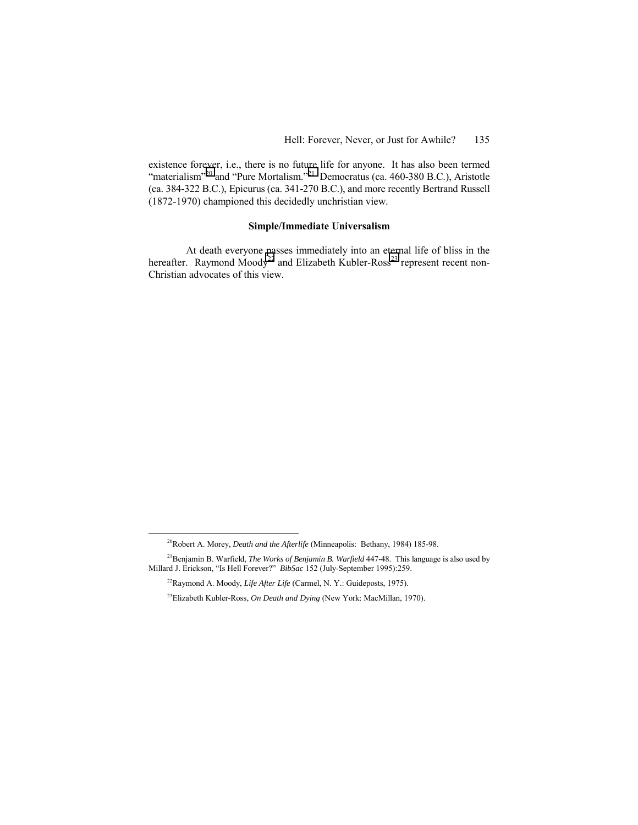existence forever, i.e., there is no future life for anyone. It has also been termed "materialism"<sup>20</sup> and "Pure Mortalism."<sup>21</sup> Democratus (ca. 460-380 B.C.), Aristotle (ca. 384-322 B.C.), Epicurus (ca. 341-270 B.C.), and more recently Bertrand Russell (1872-1970) championed this decidedly unchristian view.

### **Simple/Immediate Universalism**

At death everyone passes immediately into an eternal life of bliss in the hereafter. Raymond Moody<sup>22</sup> and Elizabeth Kubler-Ross<sup>23</sup> represent recent non-Christian advocates of this view.

 <sup>20</sup>Robert A. Morey, *Death and the Afterlife* (Minneapolis: Bethany, 1984) 185-98.

<sup>21</sup>Benjamin B. Warfield, *The Works of Benjamin B. Warfield* 447-48. This language is also used by Millard J. Erickson, "Is Hell Forever?" *BibSac* 152 (July-September 1995):259.

<sup>22</sup>Raymond A. Moody, *Life After Life* (Carmel, N. Y.: Guideposts, 1975).

<sup>23</sup>Elizabeth Kubler-Ross, *On Death and Dying* (New York: MacMillan, 1970).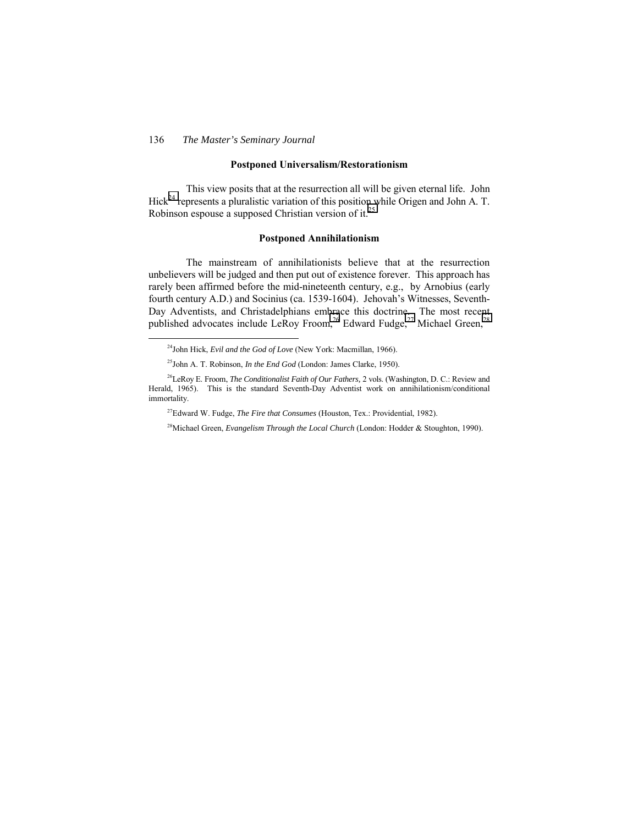### **Postponed Universalism/Restorationism**

This view posits that at the resurrection all will be given eternal life. John Hick<sup>24</sup> represents a pluralistic variation of this position while Origen and John A. T. Robinson espouse a supposed Christian version of it.<sup>25</sup>

#### **Postponed Annihilationism**

The mainstream of annihilationists believe that at the resurrection unbelievers will be judged and then put out of existence forever. This approach has rarely been affirmed before the mid-nineteenth century, e.g., by Arnobius (early fourth century A.D.) and Socinius (ca. 1539-1604). Jehovah's Witnesses, Seventh-Day Adventists, and Christadelphians embrace this doctrine. The most recent published advocates include LeRoy Froom,<sup>26</sup> Edward Fudge,<sup>27</sup> Michael Green,<sup>28</sup>

27Edward W. Fudge, *The Fire that Consumes* (Houston, Tex.: Providential, 1982).

<sup>28</sup>Michael Green, *Evangelism Through the Local Church* (London: Hodder & Stoughton, 1990).

 <sup>24</sup>John Hick, *Evil and the God of Love* (New York: Macmillan, 1966).

<sup>25</sup>John A. T. Robinson, *In the End God* (London: James Clarke, 1950).

<sup>26</sup>LeRoy E. Froom, *The Conditionalist Faith of Our Fathers,* 2 vols. (Washington, D. C.: Review and Herald, 1965). This is the standard Seventh-Day Adventist work on annihilationism/conditional immortality.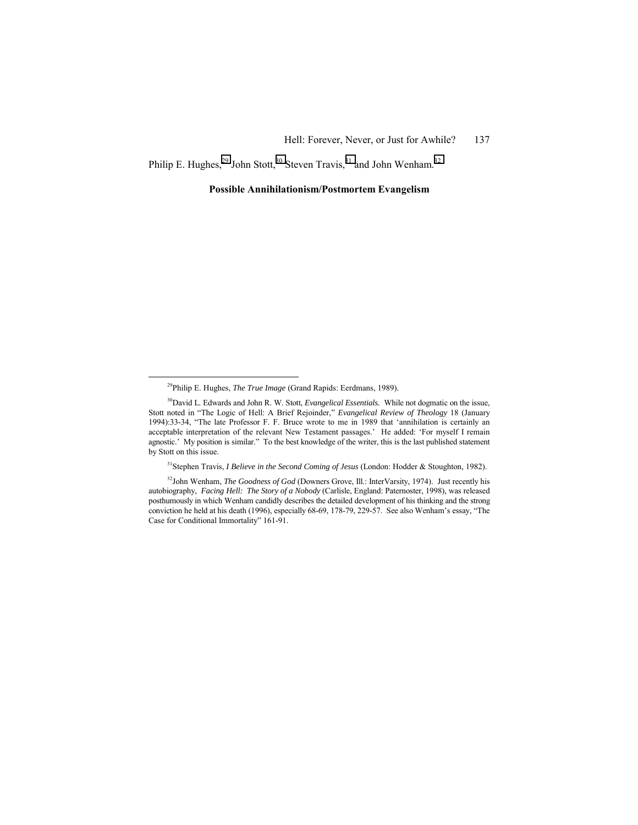Philip E. Hughes, $^{29}$  John Stott, $^{30}$  Steven Travis, $^{31}$  and John Wenham.<sup>32</sup>

#### **Possible Annihilationism/Postmortem Evangelism**

31Stephen Travis, *I Believe in the Second Coming of Jesus* (London: Hodder & Stoughton, 1982).

<sup>32</sup>John Wenham, *The Goodness of God* (Downers Grove, Ill.: InterVarsity, 1974). Just recently his autobiography, *Facing Hell: The Story of a Nobody* (Carlisle, England: Paternoster, 1998), was released posthumously in which Wenham candidly describes the detailed development of his thinking and the strong conviction he held at his death (1996), especially 68-69, 178-79, 229-57. See also Wenham's essay, "The Case for Conditional Immortality" 161-91.

 <sup>29</sup>Philip E. Hughes, *The True Image* (Grand Rapids: Eerdmans, 1989).

<sup>&</sup>lt;sup>30</sup>David L. Edwards and John R. W. Stott, *Evangelical Essentials*. While not dogmatic on the issue, Stott noted in "The Logic of Hell: A Brief Rejoinder," *Evangelical Review of Theology* 18 (January 1994):33-34, "The late Professor F. F. Bruce wrote to me in 1989 that 'annihilation is certainly an acceptable interpretation of the relevant New Testament passages.' He added: 'For myself I remain agnostic.<sup>7</sup> My position is similar.<sup>7</sup> To the best knowledge of the writer, this is the last published statement by Stott on this issue.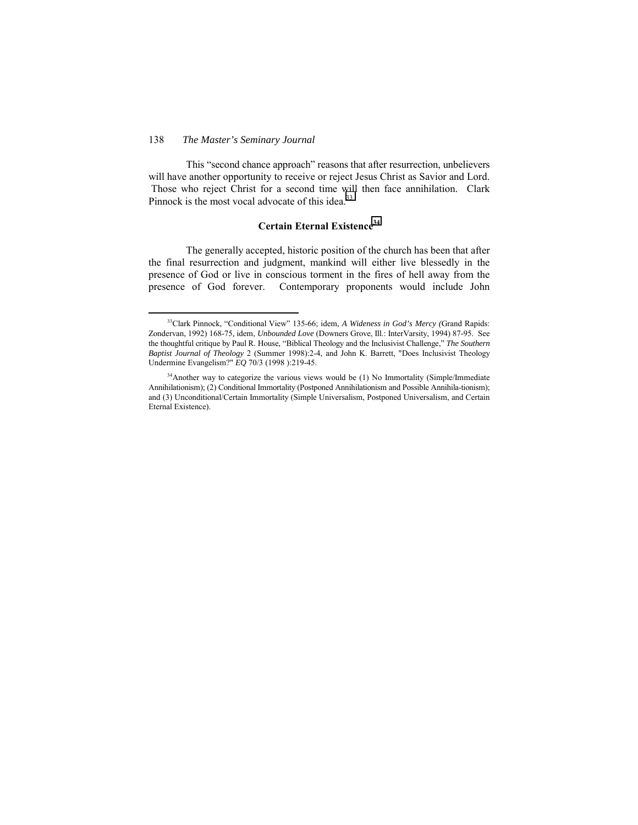This "second chance approach" reasons that after resurrection, unbelievers will have another opportunity to receive or reject Jesus Christ as Savior and Lord. Those who reject Christ for a second time will then face annihilation. Clark Pinnock is the most vocal advocate of this idea. $33$ 

## **Certain Eternal Existence<sup>34</sup>**

The generally accepted, historic position of the church has been that after the final resurrection and judgment, mankind will either live blessedly in the presence of God or live in conscious torment in the fires of hell away from the presence of God forever. Contemporary proponents would include John

<sup>&</sup>lt;sup>33</sup>Clark Pinnock, "Conditional View" 135-66; idem, *A Wideness in God's Mercy (Grand Rapids:* Zondervan, 1992) 168-75*,* idem, *Unbounded Love* (Downers Grove, Ill.: InterVarsity, 1994) 87-95. See the thoughtful critique by Paul R. House, "Biblical Theology and the Inclusivist Challenge," *The Southern Baptist Journal of Theology* 2 (Summer 1998):2-4, and John K. Barrett, "Does Inclusivist Theology Undermine Evangelism?" *EQ* 70/3 (1998 ):219-45.

<sup>&</sup>lt;sup>34</sup>Another way to categorize the various views would be (1) No Immortality (Simple/Immediate Annihilationism); (2) Conditional Immortality (Postponed Annihilationism and Possible Annihila-tionism); and (3) Unconditional/Certain Immortality (Simple Universalism, Postponed Universalism, and Certain Eternal Existence).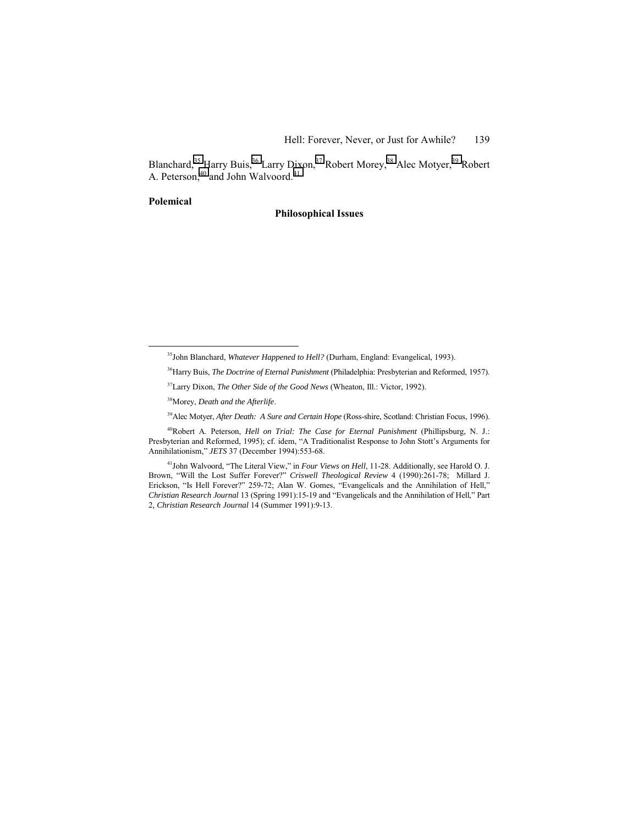Blanchard,<sup>35</sup> Harry Buis,<sup>36</sup> Larry Dixon,<sup>37</sup> Robert Morey,<sup>38</sup> Alec Motyer,<sup>39</sup> Robert A. Peterson,<sup>40</sup> and John Walvoord.<sup>41</sup>

### **Polemical**

#### **Philosophical Issues**

36Harry Buis, *The Doctrine of Eternal Punishment* (Philadelphia: Presbyterian and Reformed, 1957).

38Morey, *Death and the Afterlife*.

39Alec Motyer, *After Death: A Sure and Certain Hope* (Ross-shire, Scotland: Christian Focus, 1996).

40Robert A. Peterson, *Hell on Trial: The Case for Eternal Punishment* (Phillipsburg, N. J.: Presbyterian and Reformed, 1995); cf. idem, "A Traditionalist Response to John Stott's Arguments for Annihilationism," *JETS* 37 (December 1994):553-68.

<sup>41</sup>John Walvoord, "The Literal View," in *Four Views on Hell*, 11-28. Additionally, see Harold O. J. Brown, "Will the Lost Suffer Forever?" *Criswell Theological Review* 4 (1990):261-78; Millard J. Erickson, "Is Hell Forever?" 259-72; Alan W. Gomes, "Evangelicals and the Annihilation of Hell," *Christian Research Journal* 13 (Spring 1991):15-19 and "Evangelicals and the Annihilation of Hell," Part 2*, Christian Research Journal* 14 (Summer 1991):9-13.

<sup>&</sup>lt;sup>35</sup>John Blanchard, *Whatever Happened to Hell?* (Durham, England: Evangelical, 1993).

<sup>37</sup>Larry Dixon, *The Other Side of the Good News* (Wheaton, Ill.: Victor, 1992).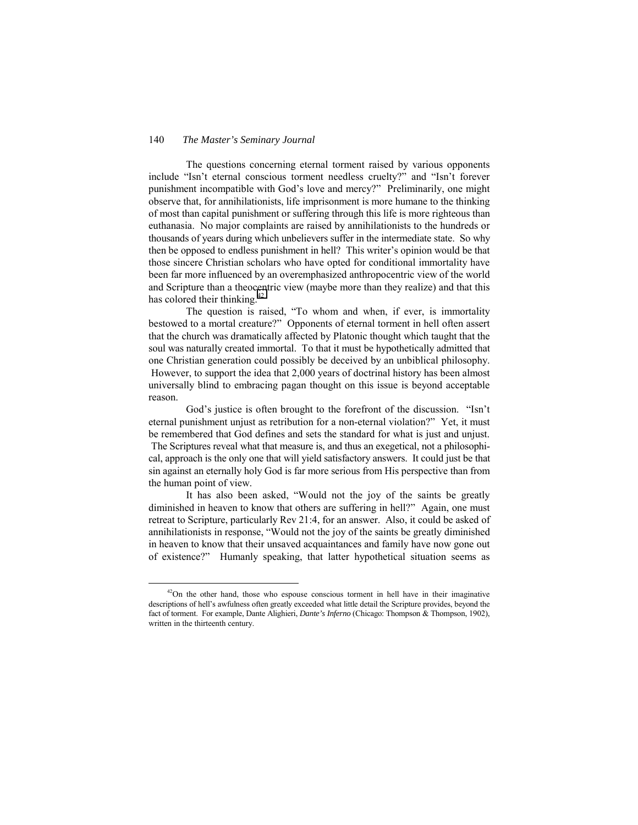The questions concerning eternal torment raised by various opponents include "Isn't eternal conscious torment needless cruelty?" and "Isn't forever punishment incompatible with God's love and mercy?" Preliminarily, one might observe that, for annihilationists, life imprisonment is more humane to the thinking of most than capital punishment or suffering through this life is more righteous than euthanasia. No major complaints are raised by annihilationists to the hundreds or thousands of years during which unbelievers suffer in the intermediate state. So why then be opposed to endless punishment in hell? This writer's opinion would be that those sincere Christian scholars who have opted for conditional immortality have been far more influenced by an overemphasized anthropocentric view of the world and Scripture than a theocentric view (maybe more than they realize) and that this has colored their thinking.<sup>42</sup>

The question is raised, "To whom and when, if ever, is immortality bestowed to a mortal creature?î Opponents of eternal torment in hell often assert that the church was dramatically affected by Platonic thought which taught that the soul was naturally created immortal. To that it must be hypothetically admitted that one Christian generation could possibly be deceived by an unbiblical philosophy. However, to support the idea that 2,000 years of doctrinal history has been almost universally blind to embracing pagan thought on this issue is beyond acceptable reason.

God's justice is often brought to the forefront of the discussion. "Isn't eternal punishment unjust as retribution for a non-eternal violation?" Yet, it must be remembered that God defines and sets the standard for what is just and unjust. The Scriptures reveal what that measure is, and thus an exegetical, not a philosophical, approach is the only one that will yield satisfactory answers. It could just be that sin against an eternally holy God is far more serious from His perspective than from the human point of view.

It has also been asked, "Would not the joy of the saints be greatly diminished in heaven to know that others are suffering in hell?" Again, one must retreat to Scripture, particularly Rev 21:4, for an answer. Also, it could be asked of annihilationists in response, "Would not the joy of the saints be greatly diminished in heaven to know that their unsaved acquaintances and family have now gone out of existence?î Humanly speaking, that latter hypothetical situation seems as

 $42$ On the other hand, those who espouse conscious torment in hell have in their imaginative descriptions of hellís awfulness often greatly exceeded what little detail the Scripture provides, beyond the fact of torment. For example, Dante Alighieri, *Dante's Inferno* (Chicago: Thompson & Thompson, 1902), written in the thirteenth century.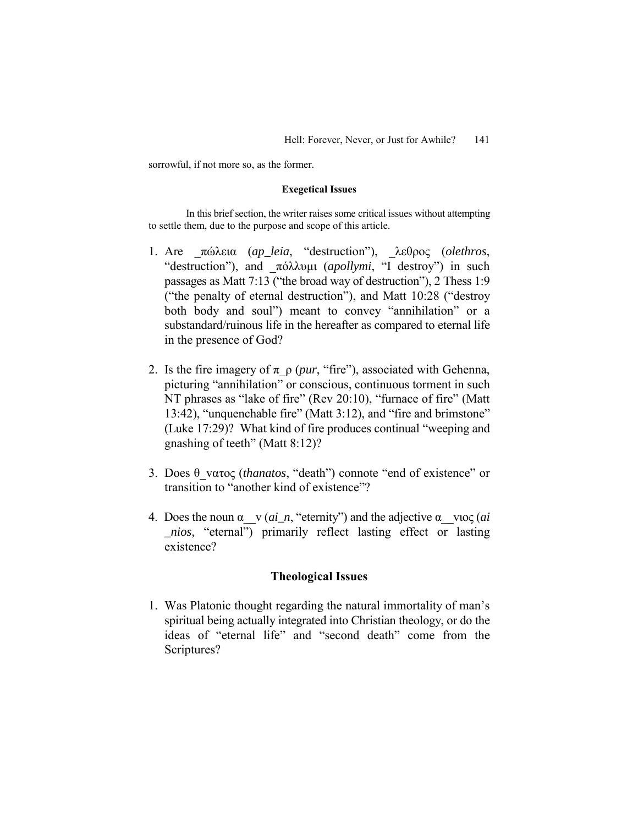sorrowful, if not more so, as the former.

### **Exegetical Issues**

In this brief section, the writer raises some critical issues without attempting to settle them, due to the purpose and scope of this article.

- 1. Are \_πώλεια (*ap\_leia*, ìdestructionî), \_λεθρoς (*olethros*, "destruction"), and πόλλυμι (*apollymi*, "I destroy") in such passages as Matt 7:13 ("the broad way of destruction"), 2 Thess  $1:9$ ("the penalty of eternal destruction"), and Matt  $10:28$  ("destroy") both body and soul") meant to convey "annihilation" or a substandard/ruinous life in the hereafter as compared to eternal life in the presence of God?
- 2. Is the fire imagery of  $\pi \rho$  (*pur*, "fire"), associated with Gehenna, picturing "annihilation" or conscious, continuous torment in such NT phrases as "lake of fire" (Rev 20:10), "furnace of fire" (Matt 13:42), "unquenchable fire" (Matt  $3:12$ ), and "fire and brimstone" (Luke  $17:29$ )? What kind of fire produces continual "weeping and gnashing of teeth" (Matt  $8:12$ )?
- 3. Does θ νατος (*thanatos*, "death") connote "end of existence" or transition to "another kind of existence"?
- 4. Does the noun  $\alpha \propto (ai_n, "eternity")$  and the adjective  $\alpha \propto \cos (ai$ *nios,* "eternal") primarily reflect lasting effect or lasting existence?

## **Theological Issues**

1. Was Platonic thought regarding the natural immortality of man's spiritual being actually integrated into Christian theology, or do the ideas of "eternal life" and "second death" come from the Scriptures?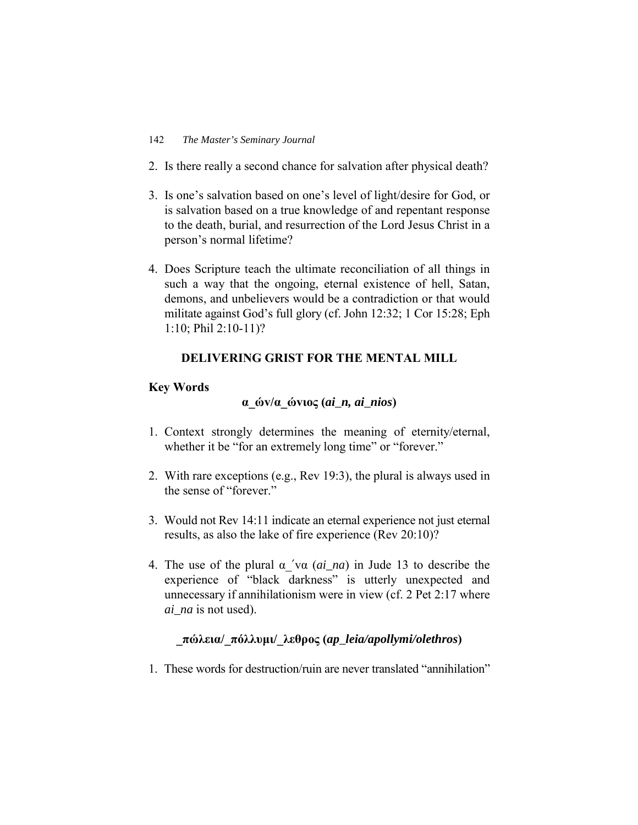- 2. Is there really a second chance for salvation after physical death?
- 3. Is one's salvation based on one's level of light/desire for God, or is salvation based on a true knowledge of and repentant response to the death, burial, and resurrection of the Lord Jesus Christ in a person's normal lifetime?
- 4. Does Scripture teach the ultimate reconciliation of all things in such a way that the ongoing, eternal existence of hell, Satan, demons, and unbelievers would be a contradiction or that would militate against God's full glory (cf. John 12:32; 1 Cor 15:28; Eph 1:10; Phil 2:10-11)?

# **DELIVERING GRIST FOR THE MENTAL MILL**

## **Key Words**

# **α\_ώv/α\_ώvιoς (***ai\_n, ai\_nios***)**

- 1. Context strongly determines the meaning of eternity/eternal, whether it be "for an extremely long time" or "forever."
- 2. With rare exceptions (e.g., Rev 19:3), the plural is always used in the sense of "forever."
- 3. Would not Rev 14:11 indicate an eternal experience not just eternal results, as also the lake of fire experience (Rev 20:10)?
- 4. The use of the plural α\_′vα (*ai\_na*) in Jude 13 to describe the experience of "black darkness" is utterly unexpected and unnecessary if annihilationism were in view (cf. 2 Pet 2:17 where *ai\_na* is not used).

# **\_πώλεια/\_πόλλυµι/\_λεθρoς (***ap\_leia/apollymi/olethros***)**

1. These words for destruction/ruin are never translated "annihilation"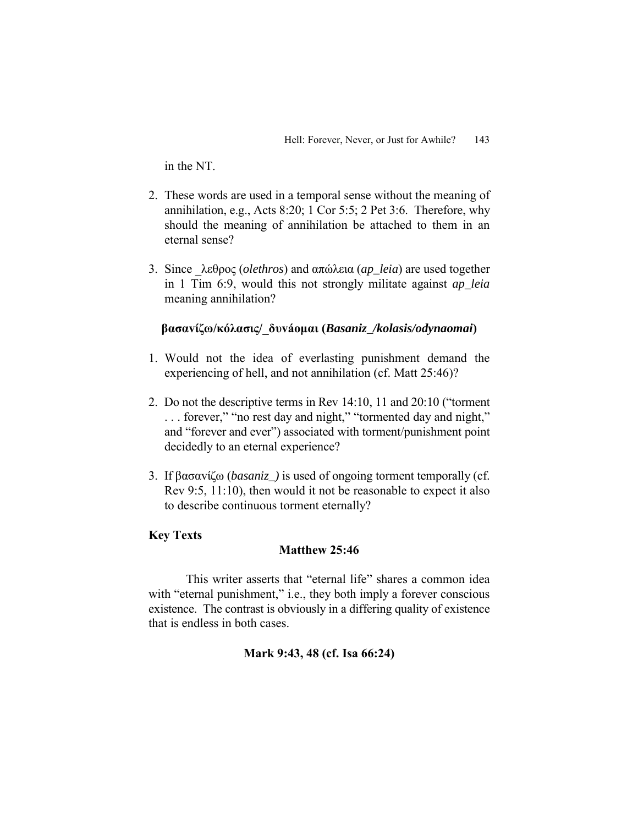in the NT.

- 2. These words are used in a temporal sense without the meaning of annihilation, e.g., Acts 8:20; 1 Cor 5:5; 2 Pet 3:6. Therefore, why should the meaning of annihilation be attached to them in an eternal sense?
- 3. Since \_λεθρoς (*olethros*) and απώλεια (*ap\_leia*) are used together in 1 Tim 6:9, would this not strongly militate against *ap\_leia* meaning annihilation?

# **βασαvίζω/κόλασις/\_δυv·oµαι (***Basaniz\_/kolasis/odynaomai***)**

- 1. Would not the idea of everlasting punishment demand the experiencing of hell, and not annihilation (cf. Matt 25:46)?
- 2. Do not the descriptive terms in Rev  $14:10$ ,  $11$  and  $20:10$  ("torment  $\ldots$  forever," "no rest day and night," "tormented day and night," and "forever and ever") associated with torment/punishment point decidedly to an eternal experience?
- 3. If βασαvίζω (*basaniz\_)* is used of ongoing torment temporally (cf. Rev 9:5, 11:10), then would it not be reasonable to expect it also to describe continuous torment eternally?

# **Key Texts**

# **Matthew 25:46**

This writer asserts that "eternal life" shares a common idea with "eternal punishment," i.e., they both imply a forever conscious existence. The contrast is obviously in a differing quality of existence that is endless in both cases.

# **Mark 9:43, 48 (cf. Isa 66:24)**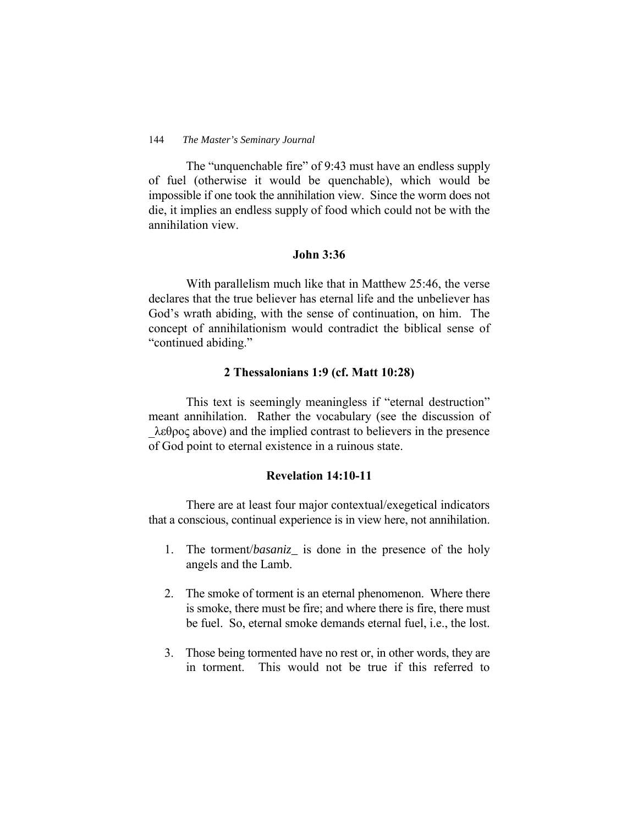The "unquenchable fire" of 9:43 must have an endless supply of fuel (otherwise it would be quenchable), which would be impossible if one took the annihilation view. Since the worm does not die, it implies an endless supply of food which could not be with the annihilation view.

## **John 3:36**

With parallelism much like that in Matthew 25:46, the verse declares that the true believer has eternal life and the unbeliever has God's wrath abiding, with the sense of continuation, on him. The concept of annihilationism would contradict the biblical sense of "continued abiding."

## **2 Thessalonians 1:9 (cf. Matt 10:28)**

This text is seemingly meaningless if "eternal destruction" meant annihilation. Rather the vocabulary (see the discussion of  $\lambda \epsilon \theta$ ρος above) and the implied contrast to believers in the presence of God point to eternal existence in a ruinous state.

# **Revelation 14:10-11**

There are at least four major contextual/exegetical indicators that a conscious, continual experience is in view here, not annihilation.

- 1. The torment/*basaniz\_* is done in the presence of the holy angels and the Lamb.
- 2. The smoke of torment is an eternal phenomenon. Where there is smoke, there must be fire; and where there is fire, there must be fuel. So, eternal smoke demands eternal fuel, i.e., the lost.
- 3. Those being tormented have no rest or, in other words, they are in torment. This would not be true if this referred to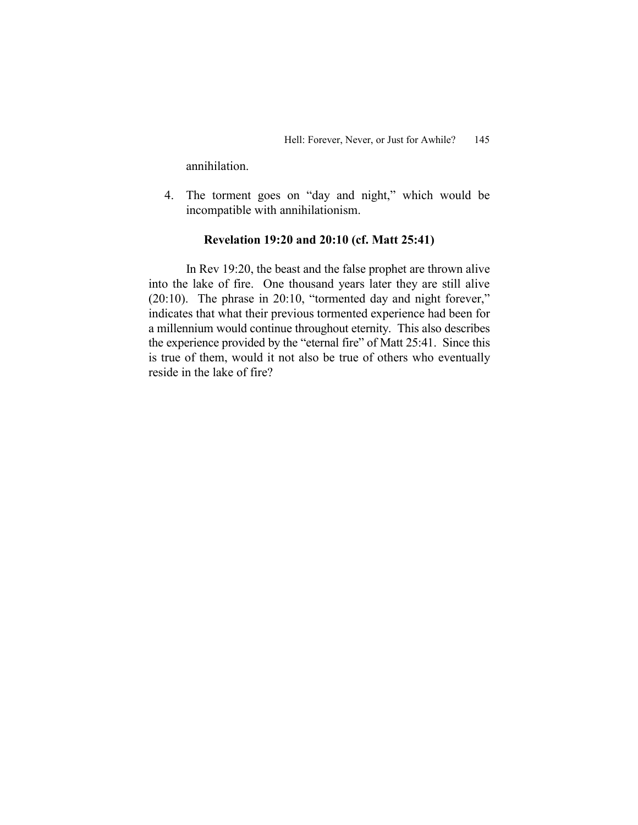annihilation.

4. The torment goes on "day and night," which would be incompatible with annihilationism.

## **Revelation 19:20 and 20:10 (cf. Matt 25:41)**

In Rev 19:20, the beast and the false prophet are thrown alive into the lake of fire. One thousand years later they are still alive  $(20:10)$ . The phrase in 20:10, "tormented day and night forever," indicates that what their previous tormented experience had been for a millennium would continue throughout eternity. This also describes the experience provided by the "eternal fire" of Matt 25:41. Since this is true of them, would it not also be true of others who eventually reside in the lake of fire?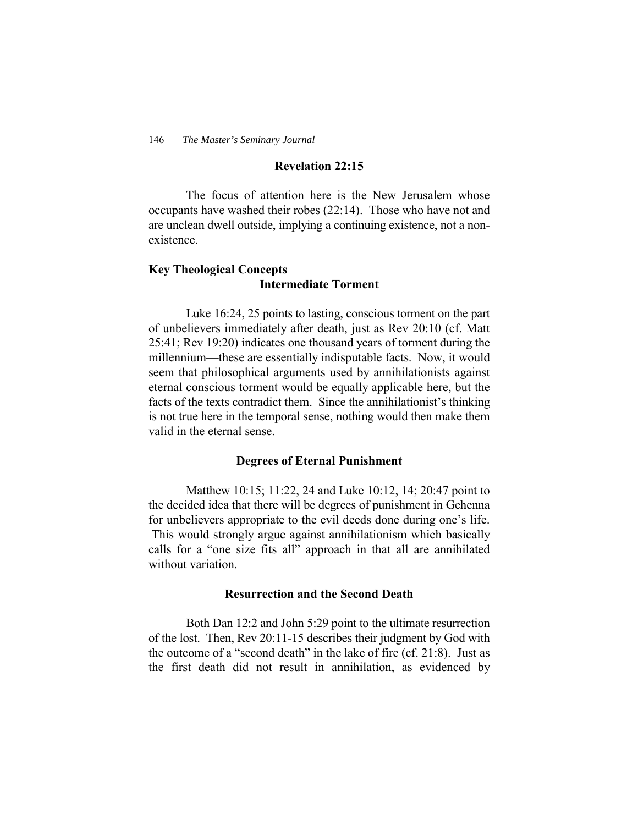## **Revelation 22:15**

The focus of attention here is the New Jerusalem whose occupants have washed their robes (22:14). Those who have not and are unclean dwell outside, implying a continuing existence, not a nonexistence.

# **Key Theological Concepts Intermediate Torment**

Luke 16:24, 25 points to lasting, conscious torment on the part of unbelievers immediately after death, just as Rev 20:10 (cf. Matt 25:41; Rev 19:20) indicates one thousand years of torment during the millennium—these are essentially indisputable facts. Now, it would seem that philosophical arguments used by annihilationists against eternal conscious torment would be equally applicable here, but the facts of the texts contradict them. Since the annihilationist's thinking is not true here in the temporal sense, nothing would then make them valid in the eternal sense.

### **Degrees of Eternal Punishment**

Matthew 10:15; 11:22, 24 and Luke 10:12, 14; 20:47 point to the decided idea that there will be degrees of punishment in Gehenna for unbelievers appropriate to the evil deeds done during one's life. This would strongly argue against annihilationism which basically calls for a "one size fits all" approach in that all are annihilated without variation.

## **Resurrection and the Second Death**

Both Dan 12:2 and John 5:29 point to the ultimate resurrection of the lost. Then, Rev 20:11-15 describes their judgment by God with the outcome of a "second death" in the lake of fire (cf. 21:8). Just as the first death did not result in annihilation, as evidenced by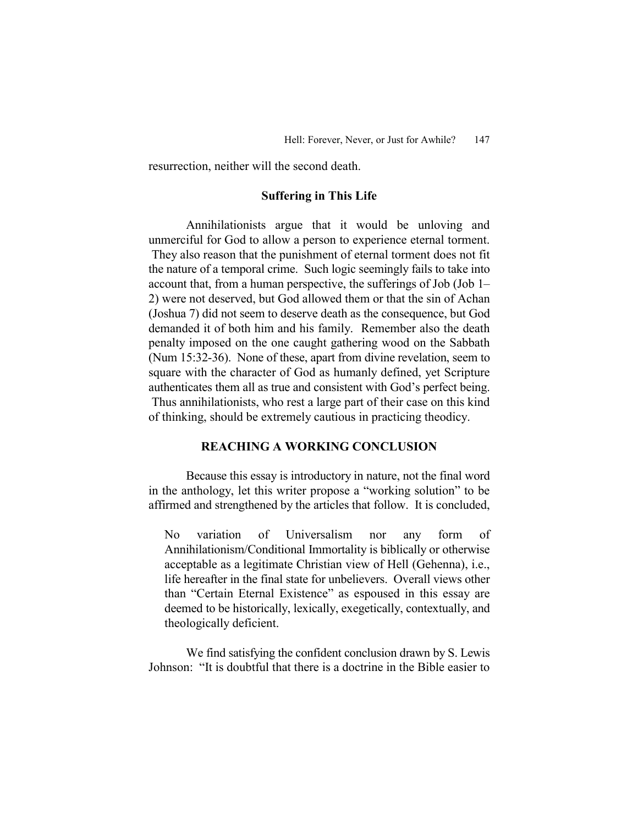resurrection, neither will the second death.

## **Suffering in This Life**

Annihilationists argue that it would be unloving and unmerciful for God to allow a person to experience eternal torment. They also reason that the punishment of eternal torment does not fit the nature of a temporal crime. Such logic seemingly fails to take into account that, from a human perspective, the sufferings of Job (Job  $1-$ 2) were not deserved, but God allowed them or that the sin of Achan (Joshua 7) did not seem to deserve death as the consequence, but God demanded it of both him and his family. Remember also the death penalty imposed on the one caught gathering wood on the Sabbath (Num 15:32-36). None of these, apart from divine revelation, seem to square with the character of God as humanly defined, yet Scripture authenticates them all as true and consistent with God's perfect being. Thus annihilationists, who rest a large part of their case on this kind of thinking, should be extremely cautious in practicing theodicy.

## **REACHING A WORKING CONCLUSION**

Because this essay is introductory in nature, not the final word in the anthology, let this writer propose a "working solution" to be affirmed and strengthened by the articles that follow. It is concluded,

No variation of Universalism nor any form of Annihilationism/Conditional Immortality is biblically or otherwise acceptable as a legitimate Christian view of Hell (Gehenna), i.e., life hereafter in the final state for unbelievers. Overall views other than "Certain Eternal Existence" as espoused in this essay are deemed to be historically, lexically, exegetically, contextually, and theologically deficient.

We find satisfying the confident conclusion drawn by S. Lewis Johnson: "It is doubtful that there is a doctrine in the Bible easier to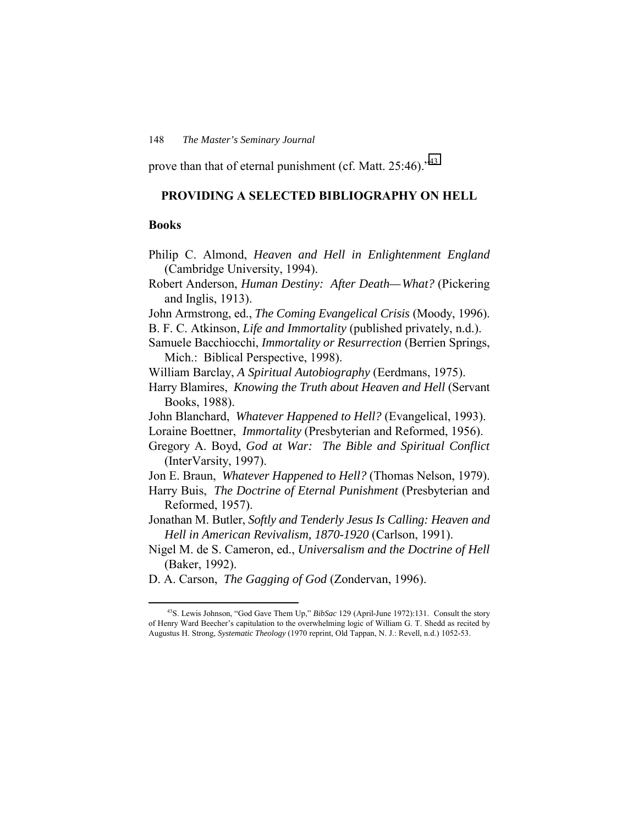prove than that of eternal punishment (cf. Matt.  $25:46$ ).<sup> $43$ </sup>

## **PROVIDING A SELECTED BIBLIOGRAPHY ON HELL**

## **Books**

- Philip C. Almond, *Heaven and Hell in Enlightenment England* (Cambridge University, 1994).
- Robert Anderson, *Human Destiny: After Death—What?* (Pickering and Inglis, 1913).
- John Armstrong, ed., *The Coming Evangelical Crisis* (Moody, 1996).
- B. F. C. Atkinson, *Life and Immortality* (published privately, n.d.).
- Samuele Bacchiocchi, *Immortality or Resurrection* (Berrien Springs, Mich.: Biblical Perspective, 1998).
- William Barclay, *A Spiritual Autobiography* (Eerdmans, 1975).
- Harry Blamires, *Knowing the Truth about Heaven and Hell* (Servant Books, 1988).
- John Blanchard, *Whatever Happened to Hell?* (Evangelical, 1993).
- Loraine Boettner, *Immortality* (Presbyterian and Reformed, 1956).
- Gregory A. Boyd, *God at War: The Bible and Spiritual Conflict* (InterVarsity, 1997).
- Jon E. Braun, *Whatever Happened to Hell?* (Thomas Nelson, 1979).
- Harry Buis, *The Doctrine of Eternal Punishment* (Presbyterian and Reformed, 1957).
- Jonathan M. Butler, *Softly and Tenderly Jesus Is Calling: Heaven and Hell in American Revivalism, 1870-1920* (Carlson, 1991).
- Nigel M. de S. Cameron, ed., *Universalism and the Doctrine of Hell* (Baker, 1992).
- D. A. Carson, *The Gagging of God* (Zondervan, 1996).

<sup>&</sup>lt;sup>43</sup>S. Lewis Johnson, "God Gave Them Up," *BibSac* 129 (April-June 1972):131. Consult the story of Henry Ward Beecher's capitulation to the overwhelming logic of William G. T. Shedd as recited by Augustus H. Strong, *Systematic Theology* (1970 reprint, Old Tappan, N. J.: Revell, n.d.) 1052-53.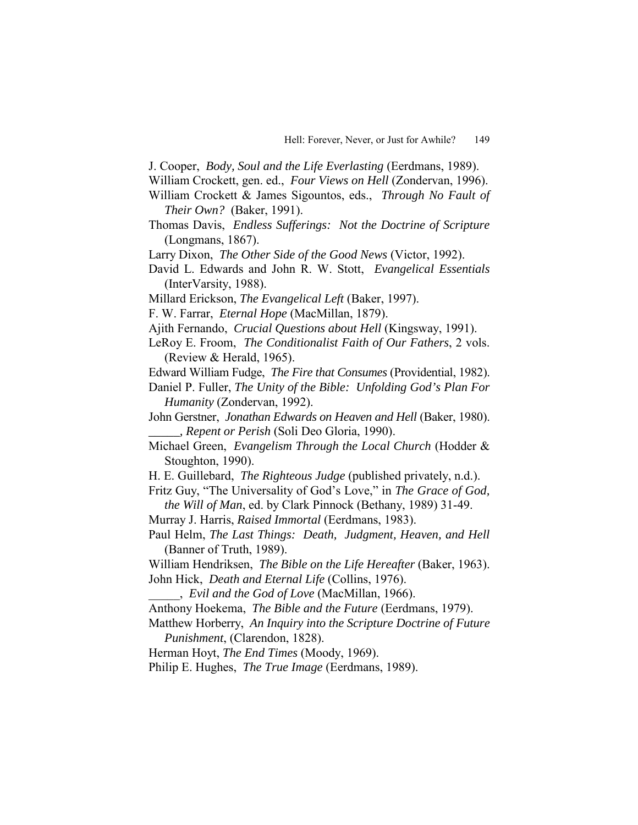- J. Cooper, *Body, Soul and the Life Everlasting* (Eerdmans, 1989).
- William Crockett, gen. ed., *Four Views on Hell* (Zondervan, 1996).
- William Crockett & James Sigountos, eds., *Through No Fault of Their Own?* (Baker, 1991).
- Thomas Davis, *Endless Sufferings: Not the Doctrine of Scripture* (Longmans, 1867).
- Larry Dixon, *The Other Side of the Good News* (Victor, 1992).
- David L. Edwards and John R. W. Stott, *Evangelical Essentials* (InterVarsity, 1988).
- Millard Erickson, *The Evangelical Left* (Baker, 1997).
- F. W. Farrar, *Eternal Hope* (MacMillan, 1879).
- Ajith Fernando, *Crucial Questions about Hell* (Kingsway, 1991).
- LeRoy E. Froom, *The Conditionalist Faith of Our Fathers*, 2 vols. (Review & Herald, 1965).
- Edward William Fudge, *The Fire that Consumes* (Providential, 1982).
- Daniel P. Fuller, *The Unity of the Bible: Unfolding God's Plan For Humanity* (Zondervan, 1992).
- John Gerstner, *Jonathan Edwards on Heaven and Hell* (Baker, 1980). *\_\_\_\_\_, Repent or Perish* (Soli Deo Gloria, 1990).
- Michael Green, *Evangelism Through the Local Church* (Hodder & Stoughton, 1990).
- H. E. Guillebard, *The Righteous Judge* (published privately, n.d.).
- Fritz Guy, "The Universality of God's Love," in *The Grace of God, the Will of Man*, ed. by Clark Pinnock (Bethany, 1989) 31-49.
- Murray J. Harris, *Raised Immortal* (Eerdmans, 1983).
- Paul Helm, *The Last Things: Death, Judgment, Heaven, and Hell* (Banner of Truth, 1989).
- William Hendriksen, *The Bible on the Life Hereafter* (Baker, 1963). John Hick, *Death and Eternal Life* (Collins, 1976).
- \_\_\_\_\_, *Evil and the God of Love* (MacMillan, 1966).
- Anthony Hoekema, *The Bible and the Future* (Eerdmans, 1979).
- Matthew Horberry, *An Inquiry into the Scripture Doctrine of Future Punishment*, (Clarendon, 1828).
- Herman Hoyt, *The End Times* (Moody, 1969).
- Philip E. Hughes, *The True Image* (Eerdmans, 1989).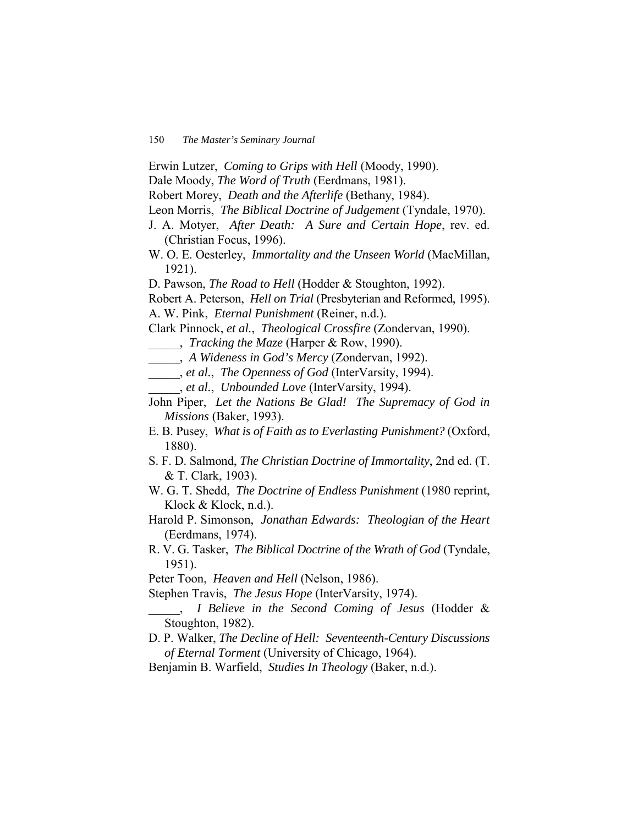- Erwin Lutzer, *Coming to Grips with Hell* (Moody, 1990).
- Dale Moody, *The Word of Truth* (Eerdmans, 1981).
- Robert Morey, *Death and the Afterlife* (Bethany, 1984).
- Leon Morris, *The Biblical Doctrine of Judgement* (Tyndale, 1970).
- J. A. Motyer, *After Death: A Sure and Certain Hope*, rev. ed. (Christian Focus, 1996).
- W. O. E. Oesterley, *Immortality and the Unseen World* (MacMillan, 1921).
- D. Pawson, *The Road to Hell* (Hodder & Stoughton, 1992).
- Robert A. Peterson, *Hell on Trial* (Presbyterian and Reformed, 1995).
- A. W. Pink, *Eternal Punishment* (Reiner, n.d.).
- Clark Pinnock, *et al.*, *Theological Crossfire* (Zondervan, 1990).
- \_\_\_\_\_, *Tracking the Maze* (Harper & Row, 1990).
- \_\_\_\_\_, *A Wideness in God's Mercy* (Zondervan, 1992).
- \_\_\_\_\_, *et al.*, *The Openness of God* (InterVarsity, 1994).
- \_\_\_\_\_, *et al.*, *Unbounded Love* (InterVarsity, 1994).
- John Piper, *Let the Nations Be Glad! The Supremacy of God in Missions* (Baker, 1993).
- E. B. Pusey, *What is of Faith as to Everlasting Punishment?* (Oxford, 1880).
- S. F. D. Salmond, *The Christian Doctrine of Immortality*, 2nd ed. (T. & T. Clark, 1903).
- W. G. T. Shedd, *The Doctrine of Endless Punishment* (1980 reprint, Klock & Klock, n.d.).
- Harold P. Simonson, *Jonathan Edwards: Theologian of the Heart* (Eerdmans, 1974).
- R. V. G. Tasker, *The Biblical Doctrine of the Wrath of God* (Tyndale, 1951).
- Peter Toon, *Heaven and Hell* (Nelson, 1986).
- Stephen Travis, *The Jesus Hope* (InterVarsity, 1974).
- \_\_\_\_\_, *I Believe in the Second Coming of Jesus* (Hodder & Stoughton, 1982).
- D. P. Walker, *The Decline of Hell: Seventeenth-Century Discussions of Eternal Torment* (University of Chicago, 1964).
- Benjamin B. Warfield, *Studies In Theology* (Baker, n.d.).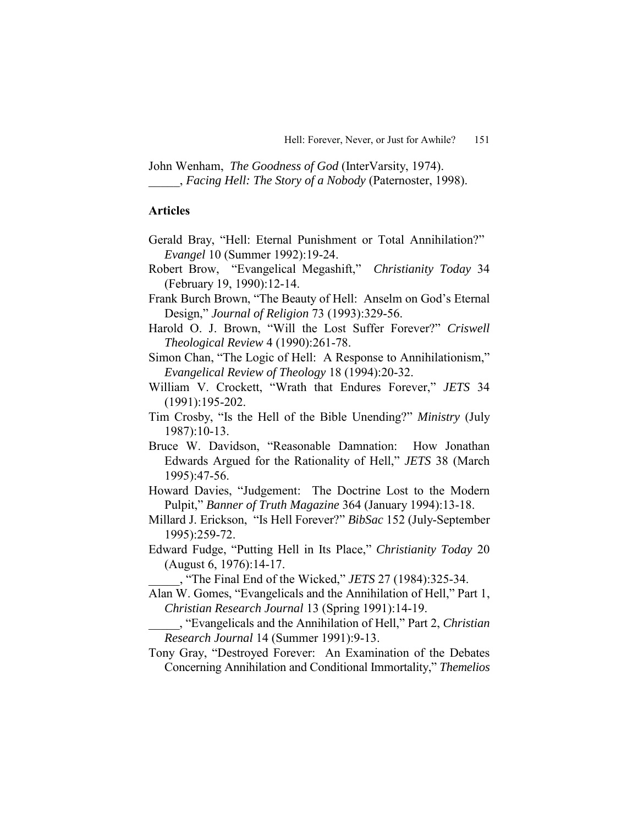John Wenham, *The Goodness of God* (InterVarsity, 1974). \_\_\_\_\_, *Facing Hell: The Story of a Nobody* (Paternoster, 1998).

## **Articles**

- Gerald Bray, "Hell: Eternal Punishment or Total Annihilation?" *Evangel* 10 (Summer 1992):19-24.
- Robert Brow, "Evangelical Megashift," *Christianity Today* 34 (February 19, 1990):12-14.
- Frank Burch Brown, "The Beauty of Hell: Anselm on God's Eternal Design,î *Journal of Religion* 73 (1993):329-56.
- Harold O. J. Brown, "Will the Lost Suffer Forever?" *Criswell Theological Review* 4 (1990):261-78.
- Simon Chan, "The Logic of Hell: A Response to Annihilationism," *Evangelical Review of Theology* 18 (1994):20-32.
- William V. Crockett, "Wrath that Endures Forever," *JETS* 34 (1991):195-202.
- Tim Crosby, "Is the Hell of the Bible Unending?" *Ministry* (July 1987):10-13.
- Bruce W. Davidson, "Reasonable Damnation: How Jonathan Edwards Argued for the Rationality of Hell," *JETS* 38 (March 1995):47-56.
- Howard Davies, "Judgement: The Doctrine Lost to the Modern Pulpit,î *Banner of Truth Magazine* 364 (January 1994):13-18.
- Millard J. Erickson, "Is Hell Forever?" *BibSac* 152 (July-September 1995):259-72.
- Edward Fudge, "Putting Hell in Its Place," *Christianity Today* 20 (August 6, 1976):14-17.

\_\_\_\_\_, ìThe Final End of the Wicked,î *JETS* 27 (1984):325-34.

- Alan W. Gomes, "Evangelicals and the Annihilation of Hell," Part 1, *Christian Research Journal* 13 (Spring 1991):14-19.
- \_\_\_\_\_, ìEvangelicals and the Annihilation of Hell,î Part 2, *Christian Research Journal* 14 (Summer 1991):9-13.
- Tony Gray, "Destroyed Forever: An Examination of the Debates Concerning Annihilation and Conditional Immortality," *Themelios*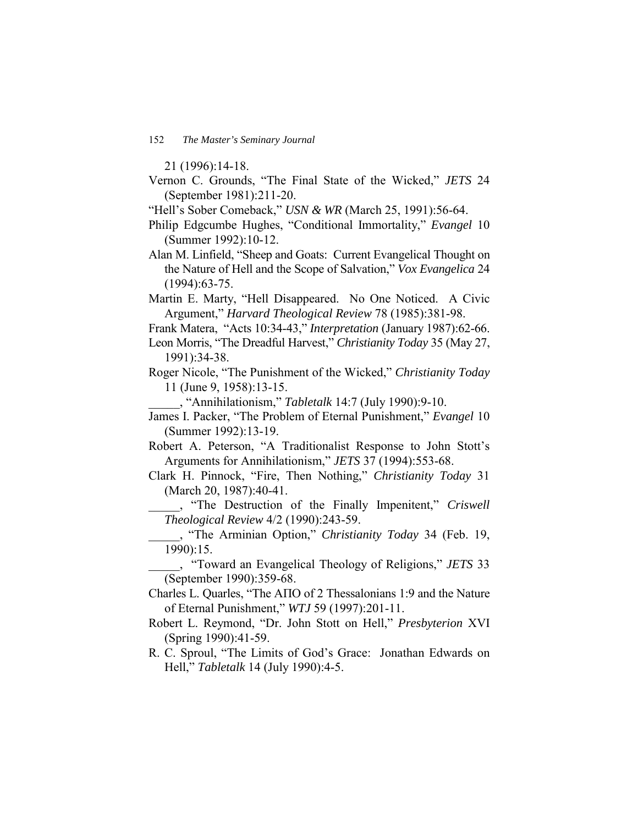21 (1996):14-18.

- Vernon C. Grounds, "The Final State of the Wicked," *JETS* 24 (September 1981):211-20.
- "Hell's Sober Comeback," *USN & WR* (March 25, 1991):56-64.
- Philip Edgcumbe Hughes, "Conditional Immortality," *Evangel* 10 (Summer 1992):10-12.
- Alan M. Linfield, "Sheep and Goats: Current Evangelical Thought on the Nature of Hell and the Scope of Salvation," *Vox Evangelica* 24 (1994):63-75.
- Martin E. Marty, "Hell Disappeared. No One Noticed. A Civic Argument," *Harvard Theological Review* 78 (1985):381-98.
- Frank Matera, "Acts 10:34-43," *Interpretation* (January 1987):62-66.
- Leon Morris, "The Dreadful Harvest," *Christianity Today* 35 (May 27, 1991):34-38.
- Roger Nicole, "The Punishment of the Wicked," *Christianity Today* 11 (June 9, 1958):13-15.
	- \_\_\_\_\_, ìAnnihilationism,î *Tabletalk* 14:7 (July 1990):9-10.
- James I. Packer, "The Problem of Eternal Punishment," *Evangel* 10 (Summer 1992):13-19.
- Robert A. Peterson, "A Traditionalist Response to John Stott's Arguments for Annihilationism," *JETS* 37 (1994):553-68.
- Clark H. Pinnock, "Fire, Then Nothing," *Christianity Today* 31 (March 20, 1987):40-41.
	- \_\_\_\_\_, ìThe Destruction of the Finally Impenitent,î *Criswell Theological Review* 4/2 (1990):243-59.
	- \_\_\_\_\_, ìThe Arminian Option,î *Christianity Today* 34 (Feb. 19, 1990):15.

\_\_\_\_\_, ìToward an Evangelical Theology of Religions,î *JETS* 33 (September 1990):359-68.

- Charles L. Quarles, "The ΑΠΟ of 2 Thessalonians 1:9 and the Nature of Eternal Punishment,î *WTJ* 59 (1997):201-11.
- Robert L. Reymond, "Dr. John Stott on Hell," Presbyterion XVI (Spring 1990):41-59.
- R. C. Sproul, "The Limits of God's Grace: Jonathan Edwards on Hell,î *Tabletalk* 14 (July 1990):4-5.